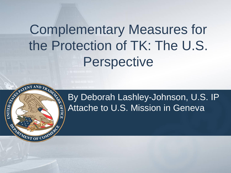# Complementary Measures for the Protection of TK: The U.S. Perspective

A REAL PROPERTY AND TRADES

ARIAT OF C

**EOFFIC** 

#### By Deborah Lashley-Johnson, U.S. IP Attache to U.S. Mission in Geneva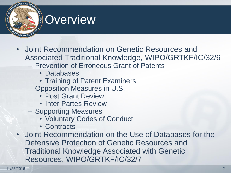

- Joint Recommendation on Genetic Resources and Associated Traditional Knowledge, WIPO/GRTKF/IC/32/6
	- Prevention of Erroneous Grant of Patents
		- Databases
		- Training of Patent Examiners
	- Opposition Measures in U.S.
		- Post Grant Review
		- Inter Partes Review
	- Supporting Measures
		- Voluntary Codes of Conduct
		- Contracts
- Joint Recommendation on the Use of Databases for the Defensive Protection of Genetic Resources and Traditional Knowledge Associated with Genetic Resources, WIPO/GRTKF/IC/32/7

**CALLED 8750**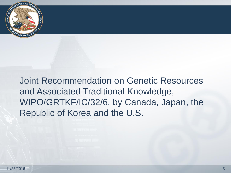

Joint Recommendation on Genetic Resources and Associated Traditional Knowledge, WIPO/GRTKF/IC/32/6, by Canada, Japan, the Republic of Korea and the U.S.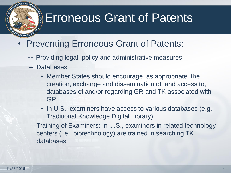## **Erroneous Grant of Patents**

- **Preventing Erroneous Grant of Patents:** 
	- -- Providing legal, policy and administrative measures
	- Databases:
		- Member States should encourage, as appropriate, the creation, exchange and dissemination of, and access to, databases of and/or regarding GR and TK associated with GR
		- In U.S., examiners have access to various databases (e.g., Traditional Knowledge Digital Library)
	- Training of Examiners: In U.S., examiners in related technology centers (i.e., biotechnology) are trained in searching TK databases

**CALLED STATE**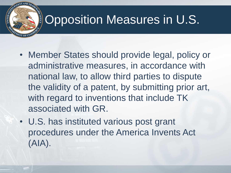# Opposition Measures in U.S.

OFFICE

- Member States should provide legal, policy or administrative measures, in accordance with national law, to allow third parties to dispute the validity of a patent, by submitting prior art, with regard to inventions that include TK associated with GR.
- U.S. has instituted various post grant procedures under the America Invents Act (AIA).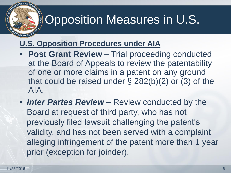# Opposition Measures in U.S.

#### **U.S. Opposition Procedures under AIA**

- **Post Grant Review**  Trial proceeding conducted at the Board of Appeals to review the patentability of one or more claims in a patent on any ground that could be raised under § 282(b)(2) or (3) of the AIA.
- **Inter Partes Review** Review conducted by the Board at request of third party, who has not previously filed lawsuit challenging the patent's validity, and has not been served with a complaint alleging infringement of the patent more than 1 year prior (exception for joinder).

**KITED STATES** 

OFFICE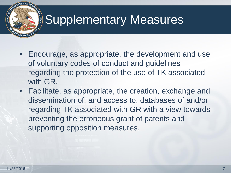- Encourage, as appropriate, the development and use of voluntary codes of conduct and guidelines regarding the protection of the use of TK associated with GR.
- Facilitate, as appropriate, the creation, exchange and dissemination of, and access to, databases of and/or regarding TK associated with GR with a view towards preventing the erroneous grant of patents and supporting opposition measures.

**NITED ST**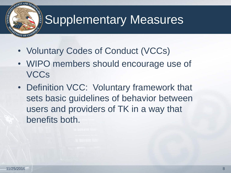- Voluntary Codes of Conduct (VCCs)
- WIPO members should encourage use of **VCCs**
- Definition VCC: Voluntary framework that sets basic guidelines of behavior between users and providers of TK in a way that benefits both.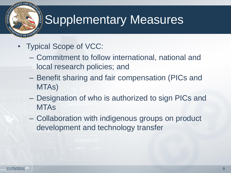- Typical Scope of VCC:
	- Commitment to follow international, national and local research policies; and
	- Benefit sharing and fair compensation (PICs and MTAs)
	- Designation of who is authorized to sign PICs and MTAs
	- Collaboration with indigenous groups on product development and technology transfer

**CALLED 8750**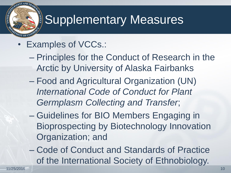- Examples of VCCs.:
	- Principles for the Conduct of Research in the Arctic by University of Alaska Fairbanks
	- Food and Agricultural Organization (UN) *International Code of Conduct for Plant Germplasm Collecting and Transfer*;
	- Guidelines for BIO Members Engaging in Bioprospecting by Biotechnology Innovation Organization; and
	- Code of Conduct and Standards of Practice of the International Society of Ethnobiology.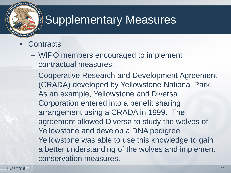**Contracts** 

**INTED STATE** 

- WIPO members encouraged to implement contractual measures.
- Cooperative Research and Development Agreement (CRADA) developed by Yellowstone National Park. As an example, Yellowstone and Diversa Corporation entered into a benefit sharing arrangement using a CRADA in 1999. The agreement allowed Diversa to study the wolves of Yellowstone and develop a DNA pedigree. Yellowstone was able to use this knowledge to gain a better understanding of the wolves and implement conservation measures.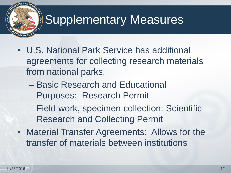- U.S. National Park Service has additional agreements for collecting research materials from national parks.
	- Basic Research and Educational Purposes: Research Permit
	- Field work, specimen collection: Scientific Research and Collecting Permit
- Material Transfer Agreements: Allows for the transfer of materials between institutions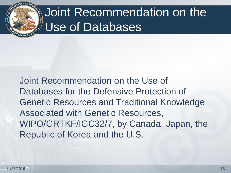

# Joint Recommendation on the Use of Databases

Joint Recommendation on the Use of Databases for the Defensive Protection of Genetic Resources and Traditional Knowledge Associated with Genetic Resources, WIPO/GRTKF/IGC32/7, by Canada, Japan, the Republic of Korea and the U.S.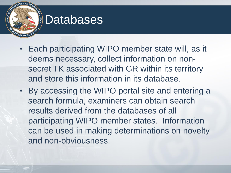#### **Databases**

- Each participating WIPO member state will, as it deems necessary, collect information on nonsecret TK associated with GR within its territory and store this information in its database.
- By accessing the WIPO portal site and entering a search formula, examiners can obtain search results derived from the databases of all participating WIPO member states. Information can be used in making determinations on novelty and non-obviousness.